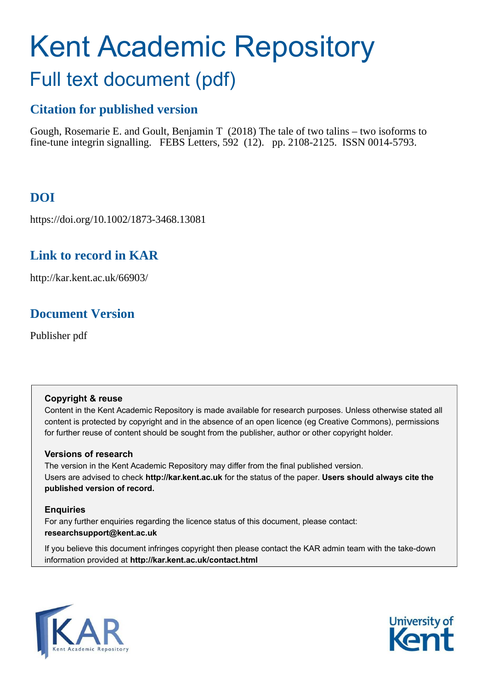# Kent Academic Repository

## Full text document (pdf)

## **Citation for published version**

Gough, Rosemarie E. and Goult, Benjamin T (2018) The tale of two talins – two isoforms to fine-tune integrin signalling. FEBS Letters, 592 (12). pp. 2108-2125. ISSN 0014-5793.

## **DOI**

https://doi.org/10.1002/1873-3468.13081

## **Link to record in KAR**

http://kar.kent.ac.uk/66903/

## **Document Version**

Publisher pdf

#### **Copyright & reuse**

Content in the Kent Academic Repository is made available for research purposes. Unless otherwise stated all content is protected by copyright and in the absence of an open licence (eg Creative Commons), permissions for further reuse of content should be sought from the publisher, author or other copyright holder.

#### **Versions of research**

The version in the Kent Academic Repository may differ from the final published version. Users are advised to check **http://kar.kent.ac.uk** for the status of the paper. **Users should always cite the published version of record.**

#### **Enquiries**

For any further enquiries regarding the licence status of this document, please contact: **researchsupport@kent.ac.uk**

If you believe this document infringes copyright then please contact the KAR admin team with the take-down information provided at **http://kar.kent.ac.uk/contact.html**



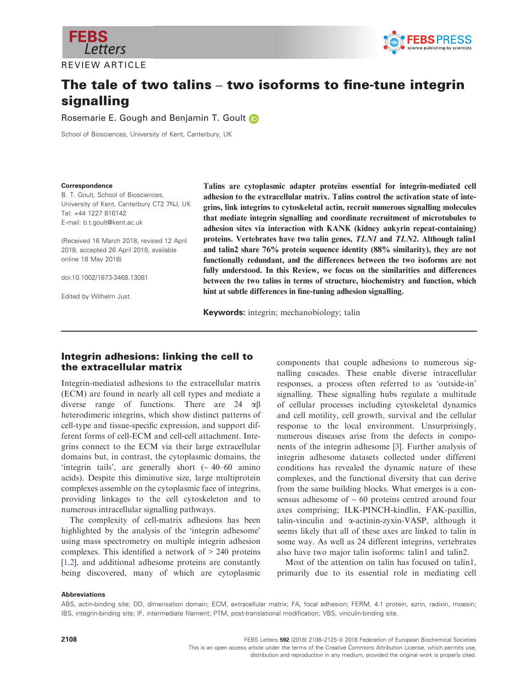<span id="page-1-0"></span>

REVIEW ARTICLE



## The tale of two talins – two isoforms to fine-tune integrin signalling

Rosemarie E. Gough and Benjamin T. Goul[t](http://orcid.org/0000-0002-3438-2807) **D** 

School of Biosciences, University of Kent, Canterbury, UK

#### Correspondence

B. T. Goult, School of Biosciences, University of Kent, Canterbury CT2 7NJ, UK Tel: +44 1227 816142 E-mail: b.t.goult@kent.ac.uk

(Received 16 March 2018, revised 12 April 2018, accepted 26 April 2018, available online 18 May 2018)

doi:10.1002/1873-3468.13081

Edited by Wilhelm Just

Talins are cytoplasmic adapter proteins essential for integrin-mediated cell adhesion to the extracellular matrix. Talins control the activation state of integrins, link integrins to cytoskeletal actin, recruit numerous signalling molecules that mediate integrin signalling and coordinate recruitment of microtubules to adhesion sites via interaction with KANK (kidney ankyrin repeat-containing) proteins. Vertebrates have two talin genes, TLN1 and TLN2. Although talin1 and talin2 share 76% protein sequence identity (88% similarity), they are not functionally redundant, and the differences between the two isoforms are not fully understood. In this Review, we focus on the similarities and differences between the two talins in terms of structure, biochemistry and function, which hint at subtle differences in fine-tuning adhesion signalling.

Keywords: integrin; mechanobiology; talin

#### Integrin adhesions: linking the cell to the extracellular matrix

Integrin-mediated adhesions to the extracellular matrix (ECM) are found in nearly all cell types and mediate a diverse range of functions. There are 24  $\alpha\beta$ heterodimeric integrins, which show distinct patterns of cell-type and tissue-specific expression, and support different forms of cell-ECM and cell-cell attachment. Integrins connect to the ECM via their large extracellular domains but, in contrast, the cytoplasmic domains, the 'integrin tails', are generally short  $($   $\sim$  40–60 amino acids). Despite this diminutive size, large multiprotein complexes assemble on the cytoplasmic face of integrins, providing linkages to the cell cytoskeleton and to numerous intracellular signalling pathways.

The complexity of cell-matrix adhesions has been highlighted by the analysis of the 'integrin adhesome' using mass spectrometry on multiple integrin adhesion complexes. This identified a network of > 240 proteins [\[1,2](#page-11-0)], and additional adhesome proteins are constantly being discovered, many of which are cytoplasmic

components that couple adhesions to numerous signalling cascades. These enable diverse intracellular responses, a process often referred to as 'outside-in' signalling. These signalling hubs regulate a multitude of cellular processes including cytoskeletal dynamics and cell motility, cell growth, survival and the cellular response to the local environment. Unsurprisingly, numerous diseases arise from the defects in components of the integrin adhesome [\[3\]](#page-12-0). Further analysis of integrin adhesome datasets collected under different conditions has revealed the dynamic nature of these complexes, and the functional diversity that can derive from the same building blocks. What emerges is a consensus adhesome of  $\sim 60$  proteins centred around four axes comprising; ILK-PINCH-kindlin, FAK-paxillin, talin-vinculin and a-actinin-zyxin-VASP, although it seems likely that all of these axes are linked to talin in some way. As well as 24 different integrins, vertebrates also have two major talin isoforms: talin1 and talin2.

Most of the attention on talin has focused on talin1, primarily due to its essential role in mediating cell

#### Abbreviations

ABS, actin-binding site; DD, dimerisation domain; ECM, extracellular matrix; FA, focal adhesion; FERM, 4.1 protein, ezrin, radixin, moesin; IBS, integrin-binding site; IF, intermediate filament; PTM, post-translational modification; VBS, vinculin-binding site.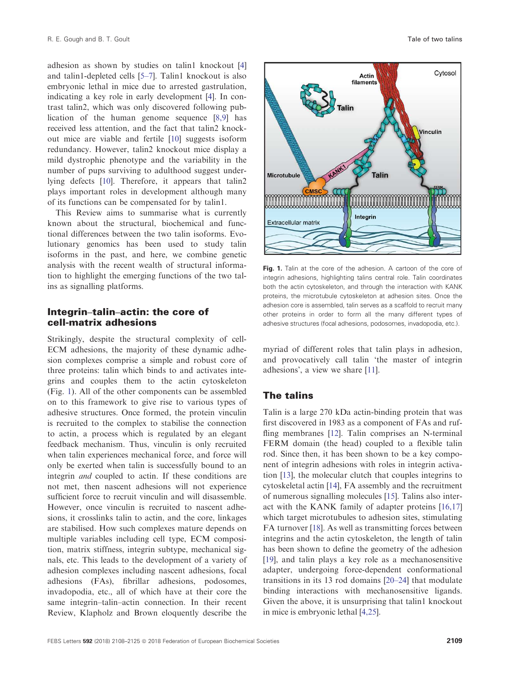adhesion as shown by studies on talin1 knockout [\[4\]](#page-12-0) and talin1-depleted cells [\[5](#page-12-0)–7]. Talin1 knockout is also embryonic lethal in mice due to arrested gastrulation, indicating a key role in early development [\[4](#page-12-0)]. In contrast talin2, which was only discovered following publication of the human genome sequence [\[8,9](#page-12-0)] has received less attention, and the fact that talin2 knockout mice are viable and fertile [\[10](#page-12-0)] suggests isoform redundancy. However, talin2 knockout mice display a mild dystrophic phenotype and the variability in the number of pups surviving to adulthood suggest underlying defects [\[10\]](#page-12-0). Therefore, it appears that talin2 plays important roles in development although many of its functions can be compensated for by talin1.

This Review aims to summarise what is currently known about the structural, biochemical and functional differences between the two talin isoforms. Evolutionary genomics has been used to study talin isoforms in the past, and here, we combine genetic analysis with the recent wealth of structural information to highlight the emerging functions of the two talins as signalling platforms.

#### Integrin–talin–actin: the core of cell-matrix adhesions

Strikingly, despite the structural complexity of cell-ECM adhesions, the majority of these dynamic adhesion complexes comprise a simple and robust core of three proteins: talin which binds to and activates integrins and couples them to the actin cytoskeleton (Fig. [1](#page-1-0)). All of the other components can be assembled on to this framework to give rise to various types of adhesive structures. Once formed, the protein vinculin is recruited to the complex to stabilise the connection to actin, a process which is regulated by an elegant feedback mechanism. Thus, vinculin is only recruited when talin experiences mechanical force, and force will only be exerted when talin is successfully bound to an integrin and coupled to actin. If these conditions are not met, then nascent adhesions will not experience sufficient force to recruit vinculin and will disassemble. However, once vinculin is recruited to nascent adhesions, it crosslinks talin to actin, and the core, linkages are stabilised. How such complexes mature depends on multiple variables including cell type, ECM composition, matrix stiffness, integrin subtype, mechanical signals, etc. This leads to the development of a variety of adhesion complexes including nascent adhesions, focal adhesions (FAs), fibrillar adhesions, podosomes, invadopodia, etc., all of which have at their core the same integrin–talin–actin connection. In their recent Review, Klapholz and Brown eloquently describe the



Fig. 1. Talin at the core of the adhesion. A cartoon of the core of integrin adhesions, highlighting talins central role. Talin coordinates both the actin cytoskeleton, and through the interaction with KANK proteins, the microtubule cytoskeleton at adhesion sites. Once the adhesion core is assembled, talin serves as a scaffold to recruit many other proteins in order to form all the many different types of adhesive structures (focal adhesions, podosomes, invadopodia, etc.).

myriad of different roles that talin plays in adhesion, and provocatively call talin 'the master of integrin adhesions', a view we share [\[11\]](#page-12-0).

#### The talins

Talin is a large 270 kDa actin-binding protein that was first discovered in 1983 as a component of FAs and ruf-fling membranes [\[12\]](#page-12-0). Talin comprises an N-terminal FERM domain (the head) coupled to a flexible talin rod. Since then, it has been shown to be a key component of integrin adhesions with roles in integrin activation [\[13\]](#page-12-0), the molecular clutch that couples integrins to cytoskeletal actin [[14](#page-12-0)], FA assembly and the recruitment of numerous signalling molecules [\[15\]](#page-12-0). Talins also interact with the KANK family of adapter proteins [[16,17\]](#page-12-0) which target microtubules to adhesion sites, stimulating FA turnover [[18](#page-12-0)]. As well as transmitting forces between integrins and the actin cytoskeleton, the length of talin has been shown to define the geometry of the adhesion [[19](#page-12-0)], and talin plays a key role as a mechanosensitive adapter, undergoing force-dependent conformational transitions in its 13 rod domains [[20](#page-12-0)–[24](#page-12-0)] that modulate binding interactions with mechanosensitive ligands. Given the above, it is unsurprising that talin1 knockout in mice is embryonic lethal [\[4,25\]](#page-12-0).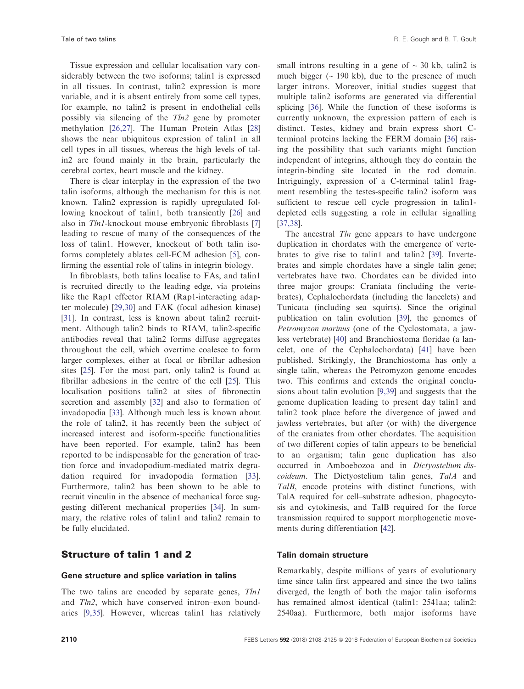Tissue expression and cellular localisation vary considerably between the two isoforms; talin1 is expressed in all tissues. In contrast, talin2 expression is more variable, and it is absent entirely from some cell types, for example, no talin2 is present in endothelial cells possibly via silencing of the Tln2 gene by promoter methylation [[26,27](#page-12-0)]. The Human Protein Atlas [\[28\]](#page-13-0) shows the near ubiquitous expression of talin1 in all cell types in all tissues, whereas the high levels of talin2 are found mainly in the brain, particularly the cerebral cortex, heart muscle and the kidney.

There is clear interplay in the expression of the two talin isoforms, although the mechanism for this is not known. Talin2 expression is rapidly upregulated following knockout of talin1, both transiently [[26](#page-12-0)] and also in Tln1-knockout mouse embryonic fibroblasts [[7\]](#page-12-0) leading to rescue of many of the consequences of the loss of talin1. However, knockout of both talin isoforms completely ablates cell-ECM adhesion [\[5](#page-12-0)], confirming the essential role of talins in integrin biology.

In fibroblasts, both talins localise to FAs, and talin1 is recruited directly to the leading edge, via proteins like the Rap1 effector RIAM (Rap1-interacting adapter molecule) [[29,30](#page-13-0)] and FAK (focal adhesion kinase) [\[31\]](#page-13-0). In contrast, less is known about talin2 recruitment. Although talin2 binds to RIAM, talin2-specific antibodies reveal that talin2 forms diffuse aggregates throughout the cell, which overtime coalesce to form larger complexes, either at focal or fibrillar adhesion sites [\[25\]](#page-12-0). For the most part, only talin2 is found at fibrillar adhesions in the centre of the cell [\[25\]](#page-12-0). This localisation positions talin2 at sites of fibronectin secretion and assembly [\[32\]](#page-13-0) and also to formation of invadopodia [[33](#page-13-0)]. Although much less is known about the role of talin2, it has recently been the subject of increased interest and isoform-specific functionalities have been reported. For example, talin2 has been reported to be indispensable for the generation of traction force and invadopodium-mediated matrix degradation required for invadopodia formation [[33](#page-13-0)]. Furthermore, talin2 has been shown to be able to recruit vinculin in the absence of mechanical force suggesting different mechanical properties [\[34\]](#page-13-0). In summary, the relative roles of talin1 and talin2 remain to be fully elucidated.

#### Structure of talin 1 and 2

#### Gene structure and splice variation in talins

The two talins are encoded by separate genes, Tln1 and *Tln2*, which have conserved intron–exon boundaries [\[9,35](#page-12-0)]. However, whereas talin1 has relatively

small introns resulting in a gene of  $\sim$  30 kb, talin2 is much bigger ( $\sim$  190 kb), due to the presence of much larger introns. Moreover, initial studies suggest that multiple talin2 isoforms are generated via differential splicing [[36](#page-13-0)]. While the function of these isoforms is currently unknown, the expression pattern of each is distinct. Testes, kidney and brain express short Cterminal proteins lacking the FERM domain [[36](#page-13-0)] raising the possibility that such variants might function independent of integrins, although they do contain the integrin-binding site located in the rod domain. Intriguingly, expression of a C-terminal talin1 fragment resembling the testes-specific talin2 isoform was sufficient to rescue cell cycle progression in talin1 depleted cells suggesting a role in cellular signalling [\[37,38\]](#page-13-0).

The ancestral *Tln* gene appears to have undergone duplication in chordates with the emergence of vertebrates to give rise to talin1 and talin2 [[39](#page-13-0)]. Invertebrates and simple chordates have a single talin gene; vertebrates have two. Chordates can be divided into three major groups: Craniata (including the vertebrates), Cephalochordata (including the lancelets) and Tunicata (including sea squirts). Since the original publication on talin evolution [\[39\]](#page-13-0), the genomes of Petromyzon marinus (one of the Cyclostomata, a jawless vertebrate) [[40](#page-13-0)] and Branchiostoma floridae (a lancelet, one of the Cephalochordata) [[41](#page-13-0)] have been published. Strikingly, the Branchiostoma has only a single talin, whereas the Petromyzon genome encodes two. This confirms and extends the original conclusions about talin evolution [\[9,39](#page-12-0)] and suggests that the genome duplication leading to present day talin1 and talin2 took place before the divergence of jawed and jawless vertebrates, but after (or with) the divergence of the craniates from other chordates. The acquisition of two different copies of talin appears to be beneficial to an organism; talin gene duplication has also occurred in Amboebozoa and in Dictyostelium discoideum. The Dictyostelium talin genes, TalA and TalB, encode proteins with distinct functions, with TalA required for cell–substrate adhesion, phagocytosis and cytokinesis, and TalB required for the force transmission required to support morphogenetic movements during differentiation [\[42\]](#page-13-0).

#### Talin domain structure

Remarkably, despite millions of years of evolutionary time since talin first appeared and since the two talins diverged, the length of both the major talin isoforms has remained almost identical (talin1: 2541aa; talin2: 2540aa). Furthermore, both major isoforms have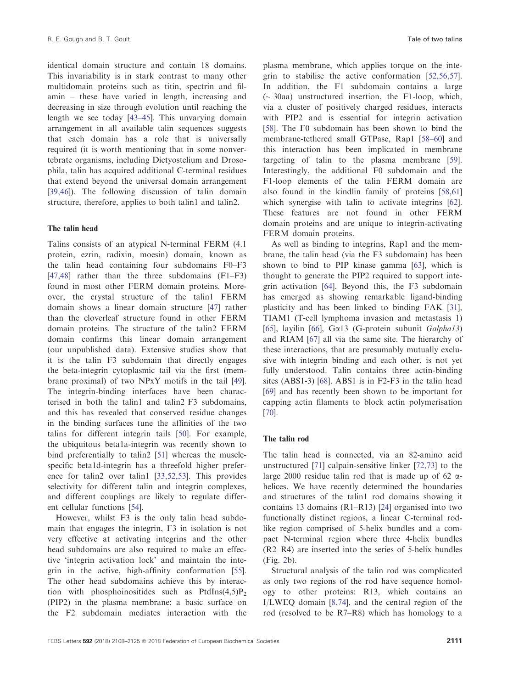<span id="page-4-0"></span>identical domain structure and contain 18 domains. This invariability is in stark contrast to many other multidomain proteins such as titin, spectrin and filamin – these have varied in length, increasing and decreasing in size through evolution until reaching the length we see today [\[43](#page-13-0)–45]. This unvarying domain arrangement in all available talin sequences suggests that each domain has a role that is universally required (it is worth mentioning that in some nonvertebrate organisms, including Dictyostelium and Drosophila, talin has acquired additional C-terminal residues that extend beyond the universal domain arrangement [\[39,46\]](#page-13-0)). The following discussion of talin domain structure, therefore, applies to both talin1 and talin2.

#### The talin head

Talins consists of an atypical N-terminal FERM (4.1 protein, ezrin, radixin, moesin) domain, known as the talin head containing four subdomains F0–F3 [\[47,48\]](#page-13-0) rather than the three subdomains (F1–F3) found in most other FERM domain proteins. Moreover, the crystal structure of the talin1 FERM domain shows a linear domain structure [\[47\]](#page-13-0) rather than the cloverleaf structure found in other FERM domain proteins. The structure of the talin2 FERM domain confirms this linear domain arrangement (our unpublished data). Extensive studies show that it is the talin F3 subdomain that directly engages the beta-integrin cytoplasmic tail via the first (membrane proximal) of two NPxY motifs in the tail [[49](#page-13-0)]. The integrin-binding interfaces have been characterised in both the talin1 and talin2 F3 subdomains, and this has revealed that conserved residue changes in the binding surfaces tune the affinities of the two talins for different integrin tails [[50](#page-13-0)]. For example, the ubiquitous beta1a-integrin was recently shown to bind preferentially to talin2 [[51](#page-13-0)] whereas the musclespecific beta1d-integrin has a threefold higher preference for talin2 over talin1 [\[33,52,53\]](#page-13-0). This provides selectivity for different talin and integrin complexes, and different couplings are likely to regulate different cellular functions [[54](#page-13-0)].

However, whilst F3 is the only talin head subdomain that engages the integrin, F3 in isolation is not very effective at activating integrins and the other head subdomains are also required to make an effective 'integrin activation lock' and maintain the integrin in the active, high-affinity conformation [[55](#page-14-0)]. The other head subdomains achieve this by interaction with phosphoinositides such as PtdIns $(4,5)P_2$ (PIP2) in the plasma membrane; a basic surface on the F2 subdomain mediates interaction with the

plasma membrane, which applies torque on the integrin to stabilise the active conformation [[52,56,57](#page-13-0)]. In addition, the F1 subdomain contains a large  $\sim$  30aa) unstructured insertion, the F1-loop, which, via a cluster of positively charged residues, interacts with PIP2 and is essential for integrin activation [[58](#page-14-0)]. The F0 subdomain has been shown to bind the membrane-tethered small GTPase, Rap1 [[58](#page-14-0)–[60\]](#page-14-0) and this interaction has been implicated in membrane targeting of talin to the plasma membrane [[59](#page-14-0)]. Interestingly, the additional F0 subdomain and the F1-loop elements of the talin FERM domain are also found in the kindlin family of proteins [[58,61\]](#page-14-0) which synergise with talin to activate integrins [[62](#page-14-0)]. These features are not found in other FERM domain proteins and are unique to integrin-activating FERM domain proteins.

As well as binding to integrins, Rap1 and the membrane, the talin head (via the F3 subdomain) has been shown to bind to PIP kinase gamma [\[63\]](#page-14-0), which is thought to generate the PIP2 required to support integrin activation [\[64\]](#page-14-0). Beyond this, the F3 subdomain has emerged as showing remarkable ligand-binding plasticity and has been linked to binding FAK [[31](#page-13-0)], TIAM1 (T-cell lymphoma invasion and metastasis 1) [[65](#page-14-0)], layilin [[66](#page-14-0)],  $Ga13$  (G-protein subunit  $Galpha13$ ) and RIAM [[67](#page-14-0)] all via the same site. The hierarchy of these interactions, that are presumably mutually exclusive with integrin binding and each other, is not yet fully understood. Talin contains three actin-binding sites (ABS1-3) [\[68\]](#page-14-0). ABS1 is in F2-F3 in the talin head [[69](#page-14-0)] and has recently been shown to be important for capping actin filaments to block actin polymerisation [[70](#page-14-0)].

#### The talin rod

The talin head is connected, via an 82-amino acid unstructured [\[71\]](#page-14-0) calpain-sensitive linker [[72,73](#page-14-0)] to the large 2000 residue talin rod that is made up of 62  $\alpha$ helices. We have recently determined the boundaries and structures of the talin1 rod domains showing it contains 13 domains (R1–R13) [[24](#page-12-0)] organised into two functionally distinct regions, a linear C-terminal rodlike region comprised of 5-helix bundles and a compact N-terminal region where three 4-helix bundles (R2–R4) are inserted into the series of 5-helix bundles (Fig. 2b).

Structural analysis of the talin rod was complicated as only two regions of the rod have sequence homology to other proteins: R13, which contains an I/LWEQ domain [[8,74\]](#page-12-0), and the central region of the rod (resolved to be R7–R8) which has homology to a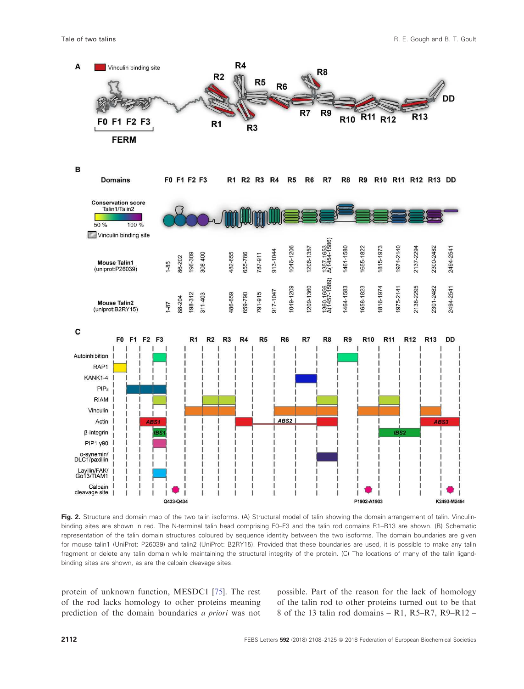

Fig. 2. Structure and domain map of the two talin isoforms. (A) Structural model of talin showing the domain arrangement of talin. Vinculinbinding sites are shown in red. The N-terminal talin head comprising F0–F3 and the talin rod domains R1–R13 are shown. (B) Schematic representation of the talin domain structures coloured by sequence identity between the two isoforms. The domain boundaries are given for mouse talin1 (UniProt: [P26039\)](http://www.uniprot.org/uniprot/P26039) and talin2 (UniProt: [B2RY15\)](http://www.uniprot.org/uniprot/B2RY15). Provided that these boundaries are used, it is possible to make any talin fragment or delete any talin domain while maintaining the structural integrity of the protein. (C) The locations of many of the talin ligandbinding sites are shown, as are the calpain cleavage sites.

protein of unknown function, MESDC1 [[75](#page-14-0)]. The rest of the rod lacks homology to other proteins meaning prediction of the domain boundaries a priori was not

possible. Part of the reason for the lack of homology of the talin rod to other proteins turned out to be that 8 of the 13 talin rod domains – R1, R5–R7, R9–R12 –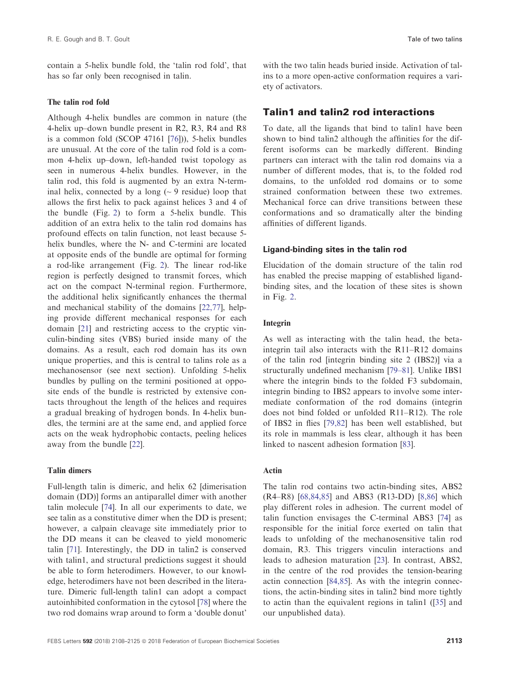<span id="page-6-0"></span>contain a 5-helix bundle fold, the 'talin rod fold', that has so far only been recognised in talin.

#### The talin rod fold

Although 4-helix bundles are common in nature (the 4-helix up–down bundle present in R2, R3, R4 and R8 is a common fold (SCOP 47161 [\[76\]](#page-14-0))), 5-helix bundles are unusual. At the core of the talin rod fold is a common 4-helix up–down, left-handed twist topology as seen in numerous 4-helix bundles. However, in the talin rod, this fold is augmented by an extra N-terminal helix, connected by a long  $({\sim} 9 \text{ residue})$  loop that allows the first helix to pack against helices 3 and 4 of the bundle (Fig. [2](#page-4-0)) to form a 5-helix bundle. This addition of an extra helix to the talin rod domains has profound effects on talin function, not least because 5 helix bundles, where the N- and C-termini are located at opposite ends of the bundle are optimal for forming a rod-like arrangement (Fig. [2\)](#page-4-0). The linear rod-like region is perfectly designed to transmit forces, which act on the compact N-terminal region. Furthermore, the additional helix significantly enhances the thermal and mechanical stability of the domains [\[22,77\]](#page-12-0), helping provide different mechanical responses for each domain [[21](#page-12-0)] and restricting access to the cryptic vinculin-binding sites (VBS) buried inside many of the domains. As a result, each rod domain has its own unique properties, and this is central to talins role as a mechanosensor (see next section). Unfolding 5-helix bundles by pulling on the termini positioned at opposite ends of the bundle is restricted by extensive contacts throughout the length of the helices and requires a gradual breaking of hydrogen bonds. In 4-helix bundles, the termini are at the same end, and applied force acts on the weak hydrophobic contacts, peeling helices away from the bundle [[22](#page-12-0)].

#### Talin dimers

Full-length talin is dimeric, and helix 62 [dimerisation domain (DD)] forms an antiparallel dimer with another talin molecule [\[74\]](#page-14-0). In all our experiments to date, we see talin as a constitutive dimer when the DD is present; however, a calpain cleavage site immediately prior to the DD means it can be cleaved to yield monomeric talin [[71](#page-14-0)]. Interestingly, the DD in talin2 is conserved with talin1, and structural predictions suggest it should be able to form heterodimers. However, to our knowledge, heterodimers have not been described in the literature. Dimeric full-length talin1 can adopt a compact autoinhibited conformation in the cytosol [[78](#page-15-0)] where the two rod domains wrap around to form a 'double donut'

with the two talin heads buried inside. Activation of talins to a more open-active conformation requires a variety of activators.

#### Talin1 and talin2 rod interactions

To date, all the ligands that bind to talin1 have been shown to bind talin2 although the affinities for the different isoforms can be markedly different. Binding partners can interact with the talin rod domains via a number of different modes, that is, to the folded rod domains, to the unfolded rod domains or to some strained conformation between these two extremes. Mechanical force can drive transitions between these conformations and so dramatically alter the binding affinities of different ligands.

#### Ligand-binding sites in the talin rod

Elucidation of the domain structure of the talin rod has enabled the precise mapping of established ligandbinding sites, and the location of these sites is shown in Fig. [2](#page-4-0).

#### Integrin

As well as interacting with the talin head, the betaintegrin tail also interacts with the R11–R12 domains of the talin rod [integrin binding site 2 (IBS2)] via a structurally undefined mechanism [[79](#page-15-0)–81]. Unlike IBS1 where the integrin binds to the folded F3 subdomain, integrin binding to IBS2 appears to involve some intermediate conformation of the rod domains (integrin does not bind folded or unfolded R11–R12). The role of IBS2 in flies [[79,82](#page-15-0)] has been well established, but its role in mammals is less clear, although it has been linked to nascent adhesion formation [[83](#page-15-0)].

#### Actin

The talin rod contains two actin-binding sites, ABS2 (R4–R8) [\[68,84,85\]](#page-14-0) and ABS3 (R13-DD) [[8,86\]](#page-12-0) which play different roles in adhesion. The current model of talin function envisages the C-terminal ABS3 [\[74\]](#page-14-0) as responsible for the initial force exerted on talin that leads to unfolding of the mechanosensitive talin rod domain, R3. This triggers vinculin interactions and leads to adhesion maturation [\[23\]](#page-12-0). In contrast, ABS2, in the centre of the rod provides the tension-bearing actin connection [\[84,85\]](#page-15-0). As with the integrin connections, the actin-binding sites in talin2 bind more tightly to actin than the equivalent regions in talin1 ([[35](#page-13-0)] and our unpublished data).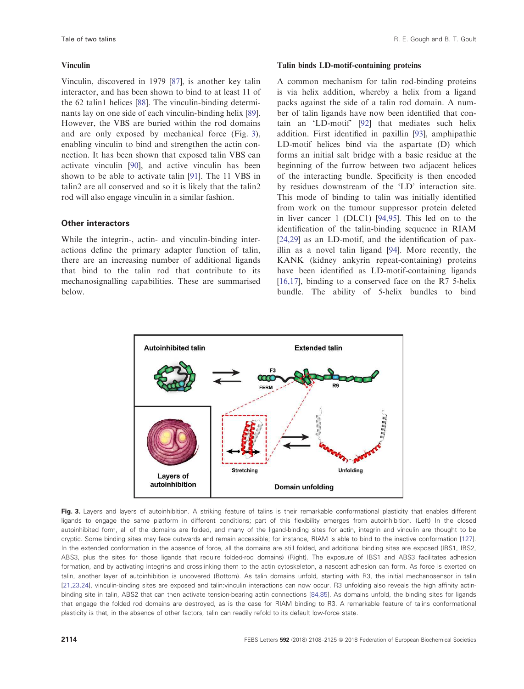#### Vinculin

Vinculin, discovered in 1979 [\[87\]](#page-15-0), is another key talin interactor, and has been shown to bind to at least 11 of the 62 talin1 helices [\[88\]](#page-15-0). The vinculin-binding determinants lay on one side of each vinculin-binding helix [[89](#page-15-0)]. However, the VBS are buried within the rod domains and are only exposed by mechanical force (Fig. [3](#page-6-0)), enabling vinculin to bind and strengthen the actin connection. It has been shown that exposed talin VBS can activate vinculin [\[90](#page-15-0)], and active vinculin has been shown to be able to activate talin [[91](#page-15-0)]. The 11 VBS in talin2 are all conserved and so it is likely that the talin2 rod will also engage vinculin in a similar fashion.

#### Other interactors

While the integrin-, actin- and vinculin-binding interactions define the primary adapter function of talin, there are an increasing number of additional ligands that bind to the talin rod that contribute to its mechanosignalling capabilities. These are summarised below.

#### Talin binds LD-motif-containing proteins

A common mechanism for talin rod-binding proteins is via helix addition, whereby a helix from a ligand packs against the side of a talin rod domain. A number of talin ligands have now been identified that contain an 'LD-motif' [\[92\]](#page-15-0) that mediates such helix addition. First identified in paxillin [[93](#page-15-0)], amphipathic LD-motif helices bind via the aspartate (D) which forms an initial salt bridge with a basic residue at the beginning of the furrow between two adjacent helices of the interacting bundle. Specificity is then encoded by residues downstream of the 'LD' interaction site. This mode of binding to talin was initially identified from work on the tumour suppressor protein deleted in liver cancer 1 (DLC1) [[94,95](#page-15-0)]. This led on to the identification of the talin-binding sequence in RIAM [\[24,29\]](#page-12-0) as an LD-motif, and the identification of paxillin as a novel talin ligand [\[94\]](#page-15-0). More recently, the KANK (kidney ankyrin repeat-containing) proteins have been identified as LD-motif-containing ligands [\[16,17\]](#page-12-0), binding to a conserved face on the R7 5-helix bundle. The ability of 5-helix bundles to bind



Fig. 3. Layers and layers of autoinhibition. A striking feature of talins is their remarkable conformational plasticity that enables different ligands to engage the same platform in different conditions; part of this flexibility emerges from autoinhibition. (Left) In the closed autoinhibited form, all of the domains are folded, and many of the ligand-binding sites for actin, integrin and vinculin are thought to be cryptic. Some binding sites may face outwards and remain accessible; for instance, RIAM is able to bind to the inactive conformation [[127](#page-17-0)]. In the extended conformation in the absence of force, all the domains are still folded, and additional binding sites are exposed (IBS1, IBS2, ABS3, plus the sites for those ligands that require folded-rod domains) (Right). The exposure of IBS1 and ABS3 facilitates adhesion formation, and by activating integrins and crosslinking them to the actin cytoskeleton, a nascent adhesion can form. As force is exerted on talin, another layer of autoinhibition is uncovered (Bottom). As talin domains unfold, starting with R3, the initial mechanosensor in talin [[21,23,24\]](#page-12-0), vinculin-binding sites are exposed and talin:vinculin interactions can now occur. R3 unfolding also reveals the high affinity actinbinding site in talin, ABS2 that can then activate tension-bearing actin connections [[84,85](#page-15-0)]. As domains unfold, the binding sites for ligands that engage the folded rod domains are destroyed, as is the case for RIAM binding to R3. A remarkable feature of talins conformational plasticity is that, in the absence of other factors, talin can readily refold to its default low-force state.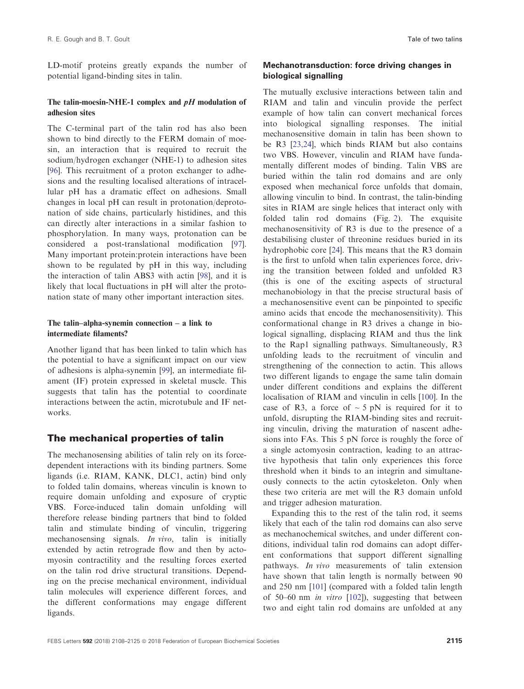LD-motif proteins greatly expands the number of potential ligand-binding sites in talin.

#### The talin-moesin-NHE-1 complex and  $pH$  modulation of adhesion sites

The C-terminal part of the talin rod has also been shown to bind directly to the FERM domain of moesin, an interaction that is required to recruit the sodium/hydrogen exchanger (NHE-1) to adhesion sites [\[96\]](#page-15-0). This recruitment of a proton exchanger to adhesions and the resulting localised alterations of intracellular pH has a dramatic effect on adhesions. Small changes in local pH can result in protonation/deprotonation of side chains, particularly histidines, and this can directly alter interactions in a similar fashion to phosphorylation. In many ways, protonation can be considered a post-translational modification [[97](#page-15-0)]. Many important protein:protein interactions have been shown to be regulated by pH in this way, including the interaction of talin ABS3 with actin [\[98\]](#page-15-0), and it is likely that local fluctuations in pH will alter the protonation state of many other important interaction sites.

#### The talin–alpha-synemin connection – a link to intermediate filaments?

Another ligand that has been linked to talin which has the potential to have a significant impact on our view of adhesions is alpha-synemin [[99](#page-15-0)], an intermediate filament (IF) protein expressed in skeletal muscle. This suggests that talin has the potential to coordinate interactions between the actin, microtubule and IF networks.

#### The mechanical properties of talin

The mechanosensing abilities of talin rely on its forcedependent interactions with its binding partners. Some ligands (i.e. RIAM, KANK, DLC1, actin) bind only to folded talin domains, whereas vinculin is known to require domain unfolding and exposure of cryptic VBS. Force-induced talin domain unfolding will therefore release binding partners that bind to folded talin and stimulate binding of vinculin, triggering mechanosensing signals. *In vivo*, talin is initially extended by actin retrograde flow and then by actomyosin contractility and the resulting forces exerted on the talin rod drive structural transitions. Depending on the precise mechanical environment, individual talin molecules will experience different forces, and the different conformations may engage different ligands.

#### Mechanotransduction: force driving changes in biological signalling

The mutually exclusive interactions between talin and RIAM and talin and vinculin provide the perfect example of how talin can convert mechanical forces into biological signalling responses. The initial mechanosensitive domain in talin has been shown to be R3 [[23,24](#page-12-0)], which binds RIAM but also contains two VBS. However, vinculin and RIAM have fundamentally different modes of binding. Talin VBS are buried within the talin rod domains and are only exposed when mechanical force unfolds that domain, allowing vinculin to bind. In contrast, the talin-binding sites in RIAM are single helices that interact only with folded talin rod domains (Fig. [2](#page-4-0)). The exquisite mechanosensitivity of R3 is due to the presence of a destabilising cluster of threonine residues buried in its hydrophobic core [[24](#page-12-0)]. This means that the R3 domain is the first to unfold when talin experiences force, driving the transition between folded and unfolded R3 (this is one of the exciting aspects of structural mechanobiology in that the precise structural basis of a mechanosensitive event can be pinpointed to specific amino acids that encode the mechanosensitivity). This conformational change in R3 drives a change in biological signalling, displacing RIAM and thus the link to the Rap1 signalling pathways. Simultaneously, R3 unfolding leads to the recruitment of vinculin and strengthening of the connection to actin. This allows two different ligands to engage the same talin domain under different conditions and explains the different localisation of RIAM and vinculin in cells [\[100\]](#page-16-0). In the case of R3, a force of  $\sim$  5 pN is required for it to unfold, disrupting the RIAM-binding sites and recruiting vinculin, driving the maturation of nascent adhesions into FAs. This 5 pN force is roughly the force of a single actomyosin contraction, leading to an attractive hypothesis that talin only experiences this force threshold when it binds to an integrin and simultaneously connects to the actin cytoskeleton. Only when these two criteria are met will the R3 domain unfold and trigger adhesion maturation.

Expanding this to the rest of the talin rod, it seems likely that each of the talin rod domains can also serve as mechanochemical switches, and under different conditions, individual talin rod domains can adopt different conformations that support different signalling pathways. In vivo measurements of talin extension have shown that talin length is normally between 90 and 250 nm [\[101](#page-16-0)] (compared with a folded talin length of 50–60 nm in vitro [[102\]](#page-16-0)), suggesting that between two and eight talin rod domains are unfolded at any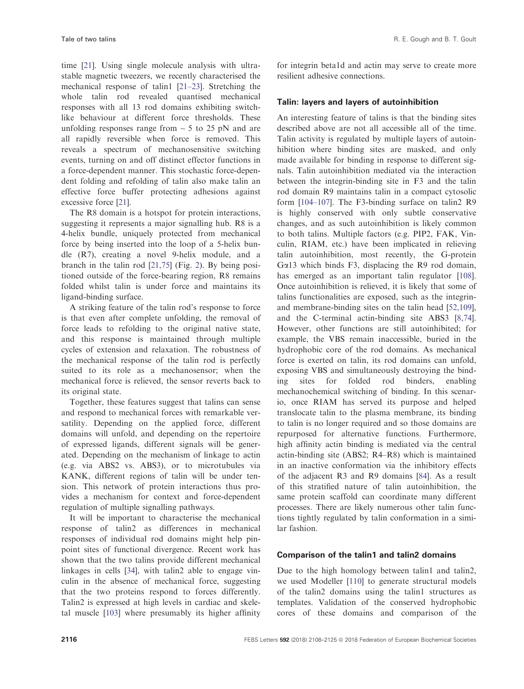time [\[21\]](#page-12-0). Using single molecule analysis with ultrastable magnetic tweezers, we recently characterised the mechanical response of talin1 [[21](#page-12-0)–23]. Stretching the whole talin rod revealed quantised mechanical responses with all 13 rod domains exhibiting switchlike behaviour at different force thresholds. These unfolding responses range from  $\sim$  5 to 25 pN and are all rapidly reversible when force is removed. This reveals a spectrum of mechanosensitive switching events, turning on and off distinct effector functions in a force-dependent manner. This stochastic force-dependent folding and refolding of talin also make talin an effective force buffer protecting adhesions against excessive force [[21](#page-12-0)].

The R8 domain is a hotspot for protein interactions, suggesting it represents a major signalling hub. R8 is a 4-helix bundle, uniquely protected from mechanical force by being inserted into the loop of a 5-helix bundle (R7), creating a novel 9-helix module, and a branch in the talin rod [\[21,75\]](#page-12-0) (Fig. [2\)](#page-4-0). By being positioned outside of the force-bearing region, R8 remains folded whilst talin is under force and maintains its ligand-binding surface.

A striking feature of the talin rod's response to force is that even after complete unfolding, the removal of force leads to refolding to the original native state, and this response is maintained through multiple cycles of extension and relaxation. The robustness of the mechanical response of the talin rod is perfectly suited to its role as a mechanosensor; when the mechanical force is relieved, the sensor reverts back to its original state.

Together, these features suggest that talins can sense and respond to mechanical forces with remarkable versatility. Depending on the applied force, different domains will unfold, and depending on the repertoire of expressed ligands, different signals will be generated. Depending on the mechanism of linkage to actin (e.g. via ABS2 vs. ABS3), or to microtubules via KANK, different regions of talin will be under tension. This network of protein interactions thus provides a mechanism for context and force-dependent regulation of multiple signalling pathways.

It will be important to characterise the mechanical response of talin2 as differences in mechanical responses of individual rod domains might help pinpoint sites of functional divergence. Recent work has shown that the two talins provide different mechanical linkages in cells [\[34\]](#page-13-0), with talin2 able to engage vinculin in the absence of mechanical force, suggesting that the two proteins respond to forces differently. Talin2 is expressed at high levels in cardiac and skeletal muscle [\[103](#page-16-0)] where presumably its higher affinity

for integrin beta1d and actin may serve to create more resilient adhesive connections.

#### Talin: layers and layers of autoinhibition

An interesting feature of talins is that the binding sites described above are not all accessible all of the time. Talin activity is regulated by multiple layers of autoinhibition where binding sites are masked, and only made available for binding in response to different signals. Talin autoinhibition mediated via the interaction between the integrin-binding site in F3 and the talin rod domain R9 maintains talin in a compact cytosolic form [[104](#page-16-0)–[107\]](#page-16-0). The F3-binding surface on talin2 R9 is highly conserved with only subtle conservative changes, and as such autoinhibition is likely common to both talins. Multiple factors (e.g. PIP2, FAK, Vinculin, RIAM, etc.) have been implicated in relieving talin autoinhibition, most recently, the G-protein G $\alpha$ 13 which binds F3, displacing the R9 rod domain, has emerged as an important talin regulator [\[108](#page-16-0)]. Once autoinhibition is relieved, it is likely that some of talins functionalities are exposed, such as the integrinand membrane-binding sites on the talin head [\[52,109](#page-13-0)], and the C-terminal actin-binding site ABS3 [[8,74](#page-12-0)]. However, other functions are still autoinhibited; for example, the VBS remain inaccessible, buried in the hydrophobic core of the rod domains. As mechanical force is exerted on talin, its rod domains can unfold, exposing VBS and simultaneously destroying the binding sites for folded rod binders, enabling mechanochemical switching of binding. In this scenario, once RIAM has served its purpose and helped translocate talin to the plasma membrane, its binding to talin is no longer required and so those domains are repurposed for alternative functions. Furthermore, high affinity actin binding is mediated via the central actin-binding site (ABS2; R4–R8) which is maintained in an inactive conformation via the inhibitory effects of the adjacent R3 and R9 domains [[84](#page-15-0)]. As a result of this stratified nature of talin autoinhibition, the same protein scaffold can coordinate many different processes. There are likely numerous other talin functions tightly regulated by talin conformation in a similar fashion.

#### Comparison of the talin1 and talin2 domains

Due to the high homology between talin1 and talin2, we used Modeller [[110](#page-16-0)] to generate structural models of the talin2 domains using the talin1 structures as templates. Validation of the conserved hydrophobic cores of these domains and comparison of the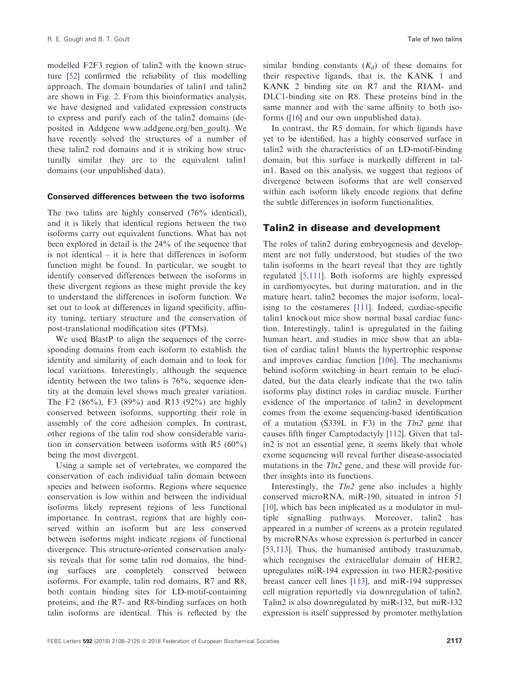<span id="page-10-0"></span>modelled F2F3 region of talin2 with the known structure [\[52\]](#page-13-0) confirmed the reliability of this modelling approach. The domain boundaries of talin1 and talin2 are shown in Fig. [2](#page-4-0). From this bioinformatics analysis, we have designed and validated expression constructs to express and purify each of the talin2 domains (deposited in Addgene [www.addgene.org/ben\\_goult\)](http://www.addgene.org/ben_goult). We have recently solved the structures of a number of these talin2 rod domains and it is striking how structurally similar they are to the equivalent talin1 domains (our unpublished data).

#### Conserved differences between the two isoforms

The two talins are highly conserved (76% identical), and it is likely that identical regions between the two isoforms carry out equivalent functions. What has not been explored in detail is the 24% of the sequence that is not identical – it is here that differences in isoform function might be found. In particular, we sought to identify conserved differences between the isoforms in these divergent regions as these might provide the key to understand the differences in isoform function. We set out to look at differences in ligand specificity, affinity tuning, tertiary structure and the conservation of post-translational modification sites (PTMs).

We used BlastP to align the sequences of the corresponding domains from each isoform to establish the identity and similarity of each domain and to look for local variations. Interestingly, although the sequence identity between the two talins is 76%, sequence identity at the domain level shows much greater variation. The F2 (86%), F3 (89%) and R13 (92%) are highly conserved between isoforms, supporting their role in assembly of the core adhesion complex. In contrast, other regions of the talin rod show considerable variation in conservation between isoforms with R5 (60%) being the most divergent.

Using a sample set of vertebrates, we compared the conservation of each individual talin domain between species and between isoforms. Regions where sequence conservation is low within and between the individual isoforms likely represent regions of less functional importance. In contrast, regions that are highly conserved within an isoform but are less conserved between isoforms might indicate regions of functional divergence. This structure-oriented conservation analysis reveals that for some talin rod domains, the binding surfaces are completely conserved between isoforms. For example, talin rod domains, R7 and R8, both contain binding sites for LD-motif-containing proteins, and the R7- and R8-binding surfaces on both talin isoforms are identical. This is reflected by the

similar binding constants  $(K_d)$  of these domains for their respective ligands, that is, the KANK 1 and KANK 2 binding site on R7 and the RIAM- and DLC1-binding site on R8. These proteins bind in the same manner and with the same affinity to both isoforms ([\[16\]](#page-12-0) and our own unpublished data).

In contrast, the R5 domain, for which ligands have yet to be identified, has a highly conserved surface in talin2 with the characteristics of an LD-motif-binding domain, but this surface is markedly different in talin1. Based on this analysis, we suggest that regions of divergence between isoforms that are well conserved within each isoform likely encode regions that define the subtle differences in isoform functionalities.

#### Talin2 in disease and development

The roles of talin2 during embryogenesis and development are not fully understood, but studies of the two talin isoforms in the heart reveal that they are tightly regulated [[5,111](#page-12-0)]. Both isoforms are highly expressed in cardiomyocytes, but during maturation, and in the mature heart, talin2 becomes the major isoform, localising to the costameres [[111](#page-16-0)]. Indeed, cardiac-specific talin1 knockout mice show normal basal cardiac function. Interestingly, talin1 is upregulated in the failing human heart, and studies in mice show that an ablation of cardiac talin1 blunts the hypertrophic response and improves cardiac function [\[106\]](#page-16-0). The mechanisms behind isoform switching in heart remain to be elucidated, but the data clearly indicate that the two talin isoforms play distinct roles in cardiac muscle. Further evidence of the importance of talin2 in development comes from the exome sequencing-based identification of a mutation (S339L in F3) in the  $Tln2$  gene that causes fifth finger Camptodactyly [\[112](#page-16-0)]. Given that talin2 is not an essential gene, it seems likely that whole exome sequencing will reveal further disease-associated mutations in the  $Tln2$  gene, and these will provide further insights into its functions.

Interestingly, the  $Tln2$  gene also includes a highly conserved microRNA, miR-190, situated in intron 51 [[10](#page-12-0)], which has been implicated as a modulator in multiple signalling pathways. Moreover, talin2 has appeared in a number of screens as a protein regulated by microRNAs whose expression is perturbed in cancer [[53,113\]](#page-13-0). Thus, the humanised antibody trastuzumab, which recognises the extracellular domain of HER2, upregulates miR-194 expression in two HER2-positive breast cancer cell lines [[113](#page-16-0)], and miR-194 suppresses cell migration reportedly via downregulation of talin2. Talin2 is also downregulated by miR-132, but miR-132 expression is itself suppressed by promoter methylation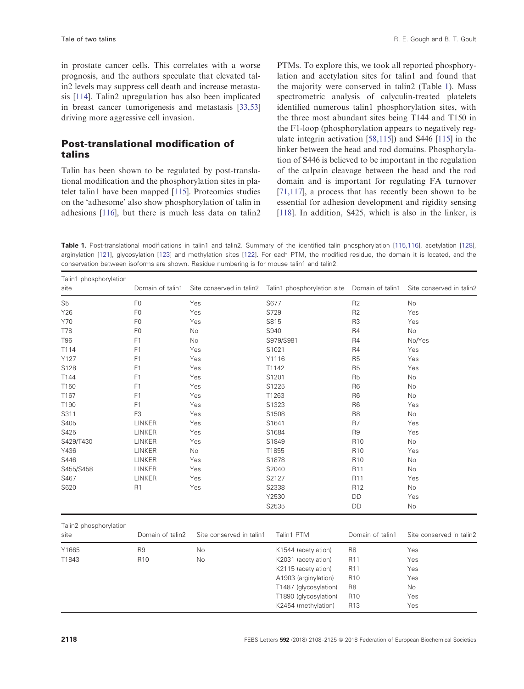<span id="page-11-0"></span>in prostate cancer cells. This correlates with a worse prognosis, and the authors speculate that elevated talin2 levels may suppress cell death and increase metastasis [[114](#page-16-0)]. Talin2 upregulation has also been implicated in breast cancer tumorigenesis and metastasis [\[33,53\]](#page-13-0) driving more aggressive cell invasion.

#### Post-translational modification of talins

Talin has been shown to be regulated by post-translational modification and the phosphorylation sites in platelet talin1 have been mapped [[115](#page-16-0)]. Proteomics studies on the 'adhesome' also show phosphorylation of talin in adhesions [\[116](#page-16-0)], but there is much less data on talin2

PTMs. To explore this, we took all reported phosphorylation and acetylation sites for talin1 and found that the majority were conserved in talin2 (Table [1](#page-10-0)). Mass spectrometric analysis of calyculin-treated platelets identified numerous talin1 phosphorylation sites, with the three most abundant sites being T144 and T150 in the F1-loop (phosphorylation appears to negatively regulate integrin activation [[58,115\]](#page-16-0)) and S446 [[115\]](#page-16-0) in the linker between the head and rod domains. Phosphorylation of S446 is believed to be important in the regulation of the calpain cleavage between the head and the rod domain and is important for regulating FA turnover [\[71,117\]](#page-14-0), a process that has recently been shown to be essential for adhesion development and rigidity sensing [\[118\]](#page-16-0). In addition, S425, which is also in the linker, is

Table 1. Post-translational modifications in talin1 and talin2. Summary of the identified talin phosphorylation [[115,116\]](#page-16-0), acetylation [[128](#page-17-0)], arginylation [[121](#page-16-0)], glycosylation [[123](#page-17-0)] and methylation sites [\[122\]](#page-16-0). For each PTM, the modified residue, the domain it is located, and the conservation between isoforms are shown. Residue numbering is for mouse talin1 and talin2.

| Talin1 phosphorylation<br>site | Domain of talin1 | Site conserved in talin2 | Talin1 phosphorylation site | Domain of talin1 | Site conserved in talin2 |
|--------------------------------|------------------|--------------------------|-----------------------------|------------------|--------------------------|
| S <sub>5</sub>                 | F <sub>0</sub>   | Yes                      | S677                        | R <sub>2</sub>   | No                       |
| Y26                            | F <sub>0</sub>   | Yes                      | S729                        | R <sub>2</sub>   | Yes                      |
| Y70                            | F <sub>0</sub>   | Yes                      | S815                        | R <sub>3</sub>   | Yes                      |
| <b>T78</b>                     | F <sub>0</sub>   | <b>No</b>                | S940                        | R <sub>4</sub>   | No                       |
| <b>T96</b>                     | F1               | No                       | S979/S981                   | R4               | No/Yes                   |
| T114                           | F1               | Yes                      | S1021                       | R4               | Yes                      |
| Y127                           | F1               | Yes                      | Y1116                       | R <sub>5</sub>   | Yes                      |
| S128                           | F1               | Yes                      | T1142                       | R <sub>5</sub>   | Yes                      |
| T144                           | F1               | Yes                      | S1201                       | R <sub>5</sub>   | No                       |
| T150                           | F1               | Yes                      | S1225                       | R <sub>6</sub>   | No                       |
| T167                           | F1               | Yes                      | T1263                       | R <sub>6</sub>   | No                       |
| T190                           | F1               | Yes                      | S1323                       | R <sub>6</sub>   | Yes                      |
| S311                           | F <sub>3</sub>   | Yes                      | S1508                       | R <sub>8</sub>   | No                       |
| S405                           | LINKER           | Yes                      | S1641                       | R7               | Yes                      |
| S425                           | LINKER           | Yes                      | S1684                       | R <sub>9</sub>   | Yes                      |
| S429/T430                      | LINKER           | Yes                      | S1849                       | R <sub>10</sub>  | <b>No</b>                |
| Y436                           | LINKER           | No                       | T1855                       | R <sub>10</sub>  | Yes                      |
| S446                           | LINKER           | Yes                      | S1878                       | R <sub>10</sub>  | No                       |
| S455/S458                      | LINKER           | Yes                      | S2040                       | R11              | <b>No</b>                |
| S467                           | LINKER           | Yes                      | S2127                       | R11              | Yes                      |
| S620                           | R <sub>1</sub>   | Yes                      | S2338                       | R <sub>12</sub>  | No                       |
|                                |                  |                          | Y2530                       | DD               | Yes                      |
|                                |                  |                          | S2535                       | DD               | No                       |
| Talin2 phosphorylation         |                  |                          |                             |                  |                          |
| site                           | Domain of talin2 | Site conserved in talin1 | Talin1 PTM                  | Domain of talin1 | Site conserved in talin2 |
| Y1665                          | R <sub>9</sub>   | No                       | K1544 (acetylation)         | R <sub>8</sub>   | Yes                      |
| T1843                          | R <sub>10</sub>  | No                       | K2031 (acetylation)         | R11              | Yes                      |
|                                |                  |                          | K2115 (acetylation)         | R11              | Yes                      |
|                                |                  |                          | A1903 (arginylation)        | R <sub>10</sub>  | Yes                      |
|                                |                  |                          | T1487 (glycosylation)       | R <sub>8</sub>   | No                       |
|                                |                  |                          | T1890 (glycosylation)       | R <sub>10</sub>  | Yes                      |
|                                |                  |                          | K2454 (methylation)         | R <sub>13</sub>  | Yes                      |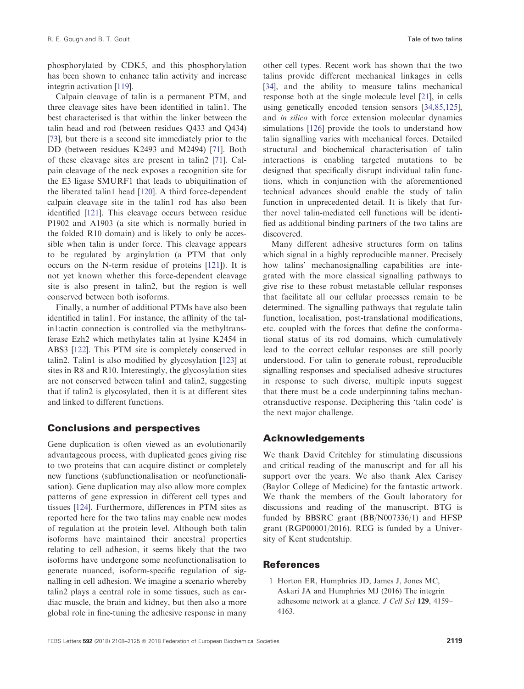<span id="page-12-0"></span>phosphorylated by CDK5, and this phosphorylation has been shown to enhance talin activity and increase integrin activation [[119\]](#page-16-0).

Calpain cleavage of talin is a permanent PTM, and three cleavage sites have been identified in talin1. The best characterised is that within the linker between the talin head and rod (between residues Q433 and Q434) [\[73\]](#page-14-0), but there is a second site immediately prior to the DD (between residues K2493 and M2494) [\[71\]](#page-14-0). Both of these cleavage sites are present in talin2 [\[71\]](#page-14-0). Calpain cleavage of the neck exposes a recognition site for the E3 ligase SMURF1 that leads to ubiquitination of the liberated talin1 head [\[120](#page-16-0)]. A third force-dependent calpain cleavage site in the talin1 rod has also been identified [[121\]](#page-16-0). This cleavage occurs between residue P1902 and A1903 (a site which is normally buried in the folded R10 domain) and is likely to only be accessible when talin is under force. This cleavage appears to be regulated by arginylation (a PTM that only occurs on the N-term residue of proteins [[121](#page-16-0)]). It is not yet known whether this force-dependent cleavage site is also present in talin2, but the region is well conserved between both isoforms.

Finally, a number of additional PTMs have also been identified in talin1. For instance, the affinity of the talin1:actin connection is controlled via the methyltransferase Ezh2 which methylates talin at lysine K2454 in ABS3 [[122](#page-16-0)]. This PTM site is completely conserved in talin2. Talin1 is also modified by glycosylation [\[123\]](#page-17-0) at sites in R8 and R10. Interestingly, the glycosylation sites are not conserved between talin1 and talin2, suggesting that if talin2 is glycosylated, then it is at different sites and linked to different functions.

#### Conclusions and perspectives

Gene duplication is often viewed as an evolutionarily advantageous process, with duplicated genes giving rise to two proteins that can acquire distinct or completely new functions (subfunctionalisation or neofunctionalisation). Gene duplication may also allow more complex patterns of gene expression in different cell types and tissues [\[124](#page-17-0)]. Furthermore, differences in PTM sites as reported here for the two talins may enable new modes of regulation at the protein level. Although both talin isoforms have maintained their ancestral properties relating to cell adhesion, it seems likely that the two isoforms have undergone some neofunctionalisation to generate nuanced, isoform-specific regulation of signalling in cell adhesion. We imagine a scenario whereby talin2 plays a central role in some tissues, such as cardiac muscle, the brain and kidney, but then also a more global role in fine-tuning the adhesive response in many

other cell types. Recent work has shown that the two talins provide different mechanical linkages in cells [[34](#page-13-0)], and the ability to measure talins mechanical response both at the single molecule level [21], in cells using genetically encoded tension sensors [\[34,85,125](#page-13-0)], and in silico with force extension molecular dynamics simulations [[126\]](#page-17-0) provide the tools to understand how talin signalling varies with mechanical forces. Detailed structural and biochemical characterisation of talin interactions is enabling targeted mutations to be designed that specifically disrupt individual talin functions, which in conjunction with the aforementioned technical advances should enable the study of talin function in unprecedented detail. It is likely that further novel talin-mediated cell functions will be identified as additional binding partners of the two talins are discovered.

Many different adhesive structures form on talins which signal in a highly reproducible manner. Precisely how talins' mechanosignalling capabilities are integrated with the more classical signalling pathways to give rise to these robust metastable cellular responses that facilitate all our cellular processes remain to be determined. The signalling pathways that regulate talin function, localisation, post-translational modifications, etc. coupled with the forces that define the conformational status of its rod domains, which cumulatively lead to the correct cellular responses are still poorly understood. For talin to generate robust, reproducible signalling responses and specialised adhesive structures in response to such diverse, multiple inputs suggest that there must be a code underpinning talins mechanotransductive response. Deciphering this 'talin code' is the next major challenge.

#### Acknowledgements

We thank David Critchley for stimulating discussions and critical reading of the manuscript and for all his support over the years. We also thank Alex Carisey (Baylor College of Medicine) for the fantastic artwork. We thank the members of the Goult laboratory for discussions and reading of the manuscript. BTG is funded by BBSRC grant (BB/N007336/1) and HFSP grant (RGP00001/2016). REG is funded by a University of Kent studentship.

#### References

1 Horton ER, Humphries JD, James J, Jones MC, Askari JA and Humphries MJ (2016) The integrin adhesome network at a glance. J Cell Sci 129, 4159– 4163.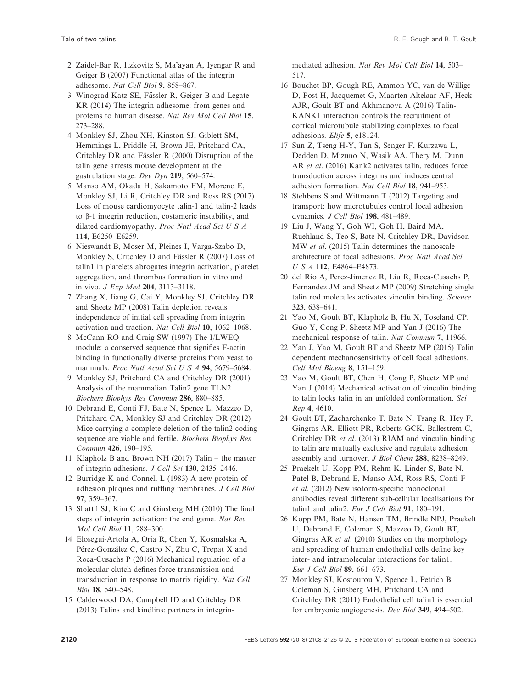- <span id="page-13-0"></span>2 Zaidel-Bar R, Itzkovitz S, Ma'ayan A, Iyengar R and Geiger B (2007) Functional atlas of the integrin adhesome. Nat Cell Biol 9, 858–867.
- 3 Winograd-Katz SE, Fässler R, Geiger B and Legate KR (2014) The integrin adhesome: from genes and proteins to human disease. Nat Rev Mol Cell Biol 15, 273–288.
- 4 Monkley SJ, Zhou XH, Kinston SJ, Giblett SM, Hemmings L, Priddle H, Brown JE, Pritchard CA, Critchley DR and Fässler R  $(2000)$  Disruption of the talin gene arrests mouse development at the gastrulation stage. Dev Dyn 219, 560–574.
- 5 Manso AM, Okada H, Sakamoto FM, Moreno E, Monkley SJ, Li R, Critchley DR and Ross RS (2017) Loss of mouse cardiomyocyte talin-1 and talin-2 leads to  $\beta$ -1 integrin reduction, costameric instability, and dilated cardiomyopathy. Proc Natl Acad Sci U S A 114, E6250–E6259.
- 6 Nieswandt B, Moser M, Pleines I, Varga-Szabo D, Monkley S, Critchley D and Fässler R  $(2007)$  Loss of talin1 in platelets abrogates integrin activation, platelet aggregation, and thrombus formation in vitro and in vivo. J Exp Med 204, 3113–3118.
- 7 Zhang X, Jiang G, Cai Y, Monkley SJ, Critchley DR and Sheetz MP (2008) Talin depletion reveals independence of initial cell spreading from integrin activation and traction. Nat Cell Biol 10, 1062–1068.
- 8 McCann RO and Craig SW (1997) The I/LWEQ module: a conserved sequence that signifies F-actin binding in functionally diverse proteins from yeast to mammals. Proc Natl Acad Sci U S A 94, 5679-5684.
- 9 Monkley SJ, Pritchard CA and Critchley DR (2001) Analysis of the mammalian Talin2 gene TLN2. Biochem Biophys Res Commun 286, 880–885.
- 10 Debrand E, Conti FJ, Bate N, Spence L, Mazzeo D, Pritchard CA, Monkley SJ and Critchley DR (2012) Mice carrying a complete deletion of the talin2 coding sequence are viable and fertile. Biochem Biophys Res Commun 426, 190–195.
- 11 Klapholz B and Brown NH (2017) Talin the master of integrin adhesions. J Cell Sci 130, 2435–2446.
- 12 Burridge K and Connell L (1983) A new protein of adhesion plaques and ruffling membranes. J Cell Biol 97, 359–367.
- 13 Shattil SJ, Kim C and Ginsberg MH (2010) The final steps of integrin activation: the end game. Nat Rev Mol Cell Biol 11, 288–300.
- 14 Elosegui-Artola A, Oria R, Chen Y, Kosmalska A, Pérez-González C, Castro N, Zhu C, Trepat X and Roca-Cusachs P (2016) Mechanical regulation of a molecular clutch defines force transmission and transduction in response to matrix rigidity. Nat Cell Biol 18, 540–548.
- 15 Calderwood DA, Campbell ID and Critchley DR (2013) Talins and kindlins: partners in integrin-

mediated adhesion. Nat Rev Mol Cell Biol 14, 503– 517.

- 16 Bouchet BP, Gough RE, Ammon YC, van de Willige D, Post H, Jacquemet G, Maarten Altelaar AF, Heck AJR, Goult BT and Akhmanova A (2016) Talin-KANK1 interaction controls the recruitment of cortical microtubule stabilizing complexes to focal adhesions. Elife 5, e18124.
- 17 Sun Z, Tseng H-Y, Tan S, Senger F, Kurzawa L, Dedden D, Mizuno N, Wasik AA, Thery M, Dunn AR et al. (2016) Kank2 activates talin, reduces force transduction across integrins and induces central adhesion formation. Nat Cell Biol 18, 941–953.
- 18 Stehbens S and Wittmann T (2012) Targeting and transport: how microtubules control focal adhesion dynamics. J Cell Biol 198, 481–489.
- 19 Liu J, Wang Y, Goh WI, Goh H, Baird MA, Ruehland S, Teo S, Bate N, Critchley DR, Davidson MW et al. (2015) Talin determines the nanoscale architecture of focal adhesions. Proc Natl Acad Sci USA 112, E4864–E4873.
- 20 del Rio A, Perez-Jimenez R, Liu R, Roca-Cusachs P, Fernandez JM and Sheetz MP (2009) Stretching single talin rod molecules activates vinculin binding. Science 323, 638–641.
- 21 Yao M, Goult BT, Klapholz B, Hu X, Toseland CP, Guo Y, Cong P, Sheetz MP and Yan J (2016) The mechanical response of talin. Nat Commun 7, 11966.
- 22 Yan J, Yao M, Goult BT and Sheetz MP (2015) Talin dependent mechanosensitivity of cell focal adhesions. Cell Mol Bioeng 8, 151–159.
- 23 Yao M, Goult BT, Chen H, Cong P, Sheetz MP and Yan J (2014) Mechanical activation of vinculin binding to talin locks talin in an unfolded conformation. Sci Rep 4, 4610.
- 24 Goult BT, Zacharchenko T, Bate N, Tsang R, Hey F, Gingras AR, Elliott PR, Roberts GCK, Ballestrem C, Critchley DR et al. (2013) RIAM and vinculin binding to talin are mutually exclusive and regulate adhesion assembly and turnover. J Biol Chem 288, 8238–8249.
- 25 Praekelt U, Kopp PM, Rehm K, Linder S, Bate N, Patel B, Debrand E, Manso AM, Ross RS, Conti F et al. (2012) New isoform-specific monoclonal antibodies reveal different sub-cellular localisations for talin1 and talin2. Eur J Cell Biol 91, 180–191.
- 26 Kopp PM, Bate N, Hansen TM, Brindle NPJ, Praekelt U, Debrand E, Coleman S, Mazzeo D, Goult BT, Gingras AR et al. (2010) Studies on the morphology and spreading of human endothelial cells define key inter- and intramolecular interactions for talin1. Eur J Cell Biol 89, 661–673.
- 27 Monkley SJ, Kostourou V, Spence L, Petrich B, Coleman S, Ginsberg MH, Pritchard CA and Critchley DR (2011) Endothelial cell talin1 is essential for embryonic angiogenesis. Dev Biol 349, 494–502.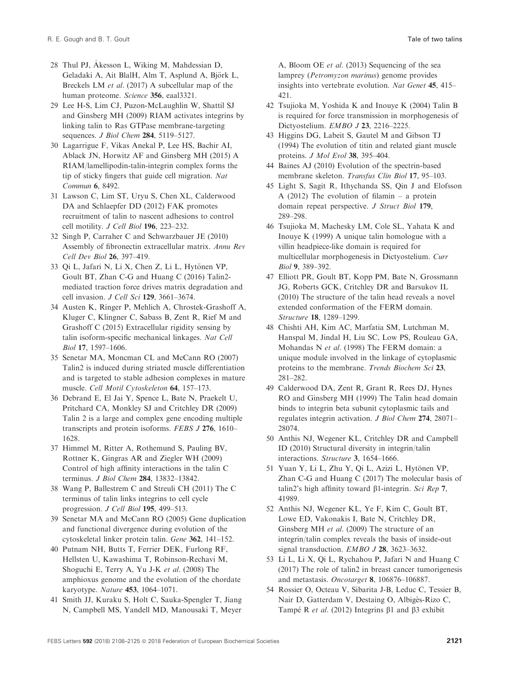- <span id="page-14-0"></span>28 Thul PJ, Akesson L, Wiking M, Mahdessian D, Geladaki A, Ait BlalH, Alm T, Asplund A, Björk L, Breckels LM et al. (2017) A subcellular map of the human proteome. Science 356, eaal3321.
- 29 Lee H-S, Lim CJ, Puzon-McLaughlin W, Shattil SJ and Ginsberg MH (2009) RIAM activates integrins by linking talin to Ras GTPase membrane-targeting sequences. *J Biol Chem* 284, 5119–5127.
- 30 Lagarrigue F, Vikas Anekal P, Lee HS, Bachir AI, Ablack JN, Horwitz AF and Ginsberg MH (2015) A RIAM/lamellipodin-talin-integrin complex forms the tip of sticky fingers that guide cell migration. Nat Commun 6, 8492.
- 31 Lawson C, Lim ST, Uryu S, Chen XL, Calderwood DA and Schlaepfer DD (2012) FAK promotes recruitment of talin to nascent adhesions to control cell motility. J Cell Biol 196, 223–232.
- 32 Singh P, Carraher C and Schwarzbauer JE (2010) Assembly of fibronectin extracellular matrix. Annu Rev Cell Dev Biol 26, 397–419.
- 33 Qi L, Jafari N, Li X, Chen Z, Li L, Hytönen VP, Goult BT, Zhan C-G and Huang C (2016) Talin2 mediated traction force drives matrix degradation and cell invasion. J Cell Sci 129, 3661–3674.
- 34 Austen K, Ringer P, Mehlich A, Chrostek-Grashoff A, Kluger C, Klingner C, Sabass B, Zent R, Rief M and Grashoff C (2015) Extracellular rigidity sensing by talin isoform-specific mechanical linkages. Nat Cell Biol 17, 1597–1606.
- 35 Senetar MA, Moncman CL and McCann RO (2007) Talin2 is induced during striated muscle differentiation and is targeted to stable adhesion complexes in mature muscle. Cell Motil Cytoskeleton 64, 157–173.
- 36 Debrand E, El Jai Y, Spence L, Bate N, Praekelt U, Pritchard CA, Monkley SJ and Critchley DR (2009) Talin 2 is a large and complex gene encoding multiple transcripts and protein isoforms. FEBS J 276, 1610– 1628.
- 37 Himmel M, Ritter A, Rothemund S, Pauling BV, Rottner K, Gingras AR and Ziegler WH (2009) Control of high affinity interactions in the talin C terminus. *J Biol Chem* 284, 13832-13842.
- 38 Wang P, Ballestrem C and Streuli CH (2011) The C terminus of talin links integrins to cell cycle progression. J Cell Biol 195, 499–513.
- 39 Senetar MA and McCann RO (2005) Gene duplication and functional divergence during evolution of the cytoskeletal linker protein talin. Gene 362, 141–152.
- 40 Putnam NH, Butts T, Ferrier DEK, Furlong RF, Hellsten U, Kawashima T, Robinson-Rechavi M, Shoguchi E, Terry A, Yu J-K et al. (2008) The amphioxus genome and the evolution of the chordate karyotype. Nature 453, 1064–1071.
- 41 Smith JJ, Kuraku S, Holt C, Sauka-Spengler T, Jiang N, Campbell MS, Yandell MD, Manousaki T, Meyer

A, Bloom OE et al. (2013) Sequencing of the sea lamprey (Petromyzon marinus) genome provides insights into vertebrate evolution. Nat Genet 45, 415– 421.

- 42 Tsujioka M, Yoshida K and Inouye K (2004) Talin B is required for force transmission in morphogenesis of Dictyostelium. EMBO J 23, 2216–2225.
- 43 Higgins DG, Labeit S, Gautel M and Gibson TJ (1994) The evolution of titin and related giant muscle proteins. J Mol Evol 38, 395–404.
- 44 Baines AJ (2010) Evolution of the spectrin-based membrane skeleton. Transfus Clin Biol 17, 95–103.
- 45 Light S, Sagit R, Ithychanda SS, Qin J and Elofsson A (2012) The evolution of filamin – a protein domain repeat perspective. J Struct Biol 179, 289–298.
- 46 Tsujioka M, Machesky LM, Cole SL, Yahata K and Inouye K (1999) A unique talin homologue with a villin headpiece-like domain is required for multicellular morphogenesis in Dictyostelium. Curr Biol 9, 389–392.
- 47 Elliott PR, Goult BT, Kopp PM, Bate N, Grossmann JG, Roberts GCK, Critchley DR and Barsukov IL (2010) The structure of the talin head reveals a novel extended conformation of the FERM domain. Structure 18, 1289–1299.
- 48 Chishti AH, Kim AC, Marfatia SM, Lutchman M, Hanspal M, Jindal H, Liu SC, Low PS, Rouleau GA, Mohandas N et al. (1998) The FERM domain: a unique module involved in the linkage of cytoplasmic proteins to the membrane. Trends Biochem Sci 23, 281–282.
- 49 Calderwood DA, Zent R, Grant R, Rees DJ, Hynes RO and Ginsberg MH (1999) The Talin head domain binds to integrin beta subunit cytoplasmic tails and regulates integrin activation. J Biol Chem 274, 28071– 28074.
- 50 Anthis NJ, Wegener KL, Critchley DR and Campbell ID (2010) Structural diversity in integrin/talin interactions. Structure 3, 1654–1666.
- 51 Yuan Y, Li L, Zhu Y, Qi L, Azizi L, Hytönen VP, Zhan C-G and Huang C (2017) The molecular basis of talin2's high affinity toward  $\beta$ 1-integrin. Sci Rep 7, 41989.
- 52 Anthis NJ, Wegener KL, Ye F, Kim C, Goult BT, Lowe ED, Vakonakis I, Bate N, Critchley DR, Ginsberg MH et al. (2009) The structure of an integrin/talin complex reveals the basis of inside-out signal transduction. *EMBO J* 28, 3623-3632.
- 53 Li L, Li X, Qi L, Rychahou P, Jafari N and Huang C (2017) The role of talin2 in breast cancer tumorigenesis and metastasis. Oncotarget 8, 106876–106887.
- 54 Rossier O, Octeau V, Sibarita J-B, Leduc C, Tessier B, Nair D, Gatterdam V, Destaing O, Albigès-Rizo C, Tampé R et al. (2012) Integrins  $\beta$ 1 and  $\beta$ 3 exhibit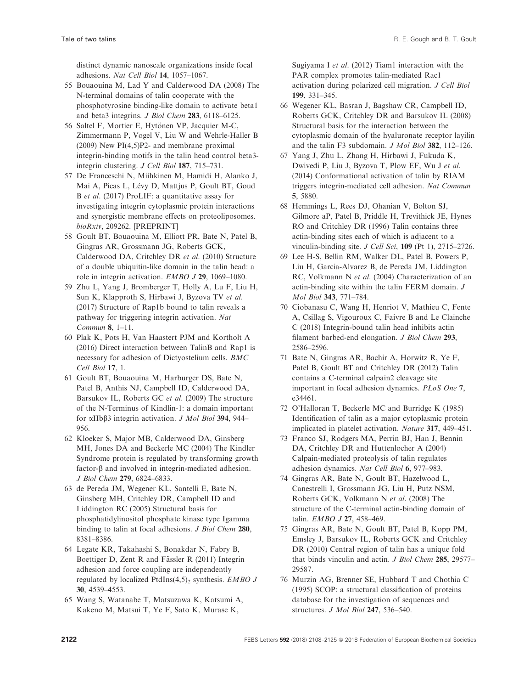<span id="page-15-0"></span>distinct dynamic nanoscale organizations inside focal adhesions. Nat Cell Biol 14, 1057–1067.

- 55 Bouaouina M, Lad Y and Calderwood DA (2008) The N-terminal domains of talin cooperate with the phosphotyrosine binding-like domain to activate beta1 and beta3 integrins. J Biol Chem 283, 6118–6125.
- 56 Saltel F, Mortier E, Hytönen VP, Jacquier M-C, Zimmermann P, Vogel V, Liu W and Wehrle-Haller B (2009) New PI(4,5)P2- and membrane proximal integrin-binding motifs in the talin head control beta3 integrin clustering. J Cell Biol 187, 715–731.
- 57 De Franceschi N, Miihkinen M, Hamidi H, Alanko J, Mai A, Picas L, Lévy D, Mattjus P, Goult BT, Goud B et al. (2017) ProLIF: a quantitative assay for investigating integrin cytoplasmic protein interactions and synergistic membrane effects on proteoliposomes. bioRxiv, 209262. [PREPRINT]
- 58 Goult BT, Bouaouina M, Elliott PR, Bate N, Patel B, Gingras AR, Grossmann JG, Roberts GCK, Calderwood DA, Critchley DR et al. (2010) Structure of a double ubiquitin-like domain in the talin head: a role in integrin activation. EMBO J 29, 1069–1080.
- 59 Zhu L, Yang J, Bromberger T, Holly A, Lu F, Liu H, Sun K, Klapproth S, Hirbawi J, Byzova TV et al. (2017) Structure of Rap1b bound to talin reveals a pathway for triggering integrin activation. Nat Commun 8, 1–11.
- 60 Plak K, Pots H, Van Haastert PJM and Kortholt A (2016) Direct interaction between TalinB and Rap1 is necessary for adhesion of Dictyostelium cells. BMC Cell Biol 17, 1.
- 61 Goult BT, Bouaouina M, Harburger DS, Bate N, Patel B, Anthis NJ, Campbell ID, Calderwood DA, Barsukov IL, Roberts GC et al. (2009) The structure of the N-Terminus of Kindlin-1: a domain important for  $\alpha$ IIb $\beta$ 3 integrin activation. *J Mol Biol* 394, 944– 956.
- 62 Kloeker S, Major MB, Calderwood DA, Ginsberg MH, Jones DA and Beckerle MC (2004) The Kindler Syndrome protein is regulated by transforming growth  $factor-\beta$  and involved in integrin-mediated adhesion. J Biol Chem 279, 6824–6833.
- 63 de Pereda JM, Wegener KL, Santelli E, Bate N, Ginsberg MH, Critchley DR, Campbell ID and Liddington RC (2005) Structural basis for phosphatidylinositol phosphate kinase type Igamma binding to talin at focal adhesions. J Biol Chem 280, 8381–8386.
- 64 Legate KR, Takahashi S, Bonakdar N, Fabry B, Boettiger D, Zent R and Fässler R (2011) Integrin adhesion and force coupling are independently regulated by localized PtdIns $(4,5)_2$  synthesis. EMBO J 30, 4539–4553.
- 65 Wang S, Watanabe T, Matsuzawa K, Katsumi A, Kakeno M, Matsui T, Ye F, Sato K, Murase K,

Sugiyama I et al. (2012) Tiam1 interaction with the PAR complex promotes talin-mediated Rac1 activation during polarized cell migration. J Cell Biol 199, 331–345.

- 66 Wegener KL, Basran J, Bagshaw CR, Campbell ID, Roberts GCK, Critchley DR and Barsukov IL (2008) Structural basis for the interaction between the cytoplasmic domain of the hyaluronate receptor layilin and the talin F3 subdomain. J Mol Biol 382, 112–126.
- 67 Yang J, Zhu L, Zhang H, Hirbawi J, Fukuda K, Dwivedi P, Liu J, Byzova T, Plow EF, Wu J et al. (2014) Conformational activation of talin by RIAM triggers integrin-mediated cell adhesion. Nat Commun 5, 5880.
- 68 Hemmings L, Rees DJ, Ohanian V, Bolton SJ, Gilmore aP, Patel B, Priddle H, Trevithick JE, Hynes RO and Critchley DR (1996) Talin contains three actin-binding sites each of which is adjacent to a vinculin-binding site. J Cell Sci, 109 (Pt 1), 2715-2726.
- 69 Lee H-S, Bellin RM, Walker DL, Patel B, Powers P, Liu H, Garcia-Alvarez B, de Pereda JM, Liddington RC, Volkmann N et al. (2004) Characterization of an actin-binding site within the talin FERM domain. J Mol Biol 343, 771–784.
- 70 Ciobanasu C, Wang H, Henriot V, Mathieu C, Fente A, Csillag S, Vigouroux C, Faivre B and Le Clainche C (2018) Integrin-bound talin head inhibits actin filament barbed-end elongation. J Biol Chem 293, 2586–2596.
- 71 Bate N, Gingras AR, Bachir A, Horwitz R, Ye F, Patel B, Goult BT and Critchley DR (2012) Talin contains a C-terminal calpain2 cleavage site important in focal adhesion dynamics. PLoS One 7, e34461.
- 72 O'Halloran T, Beckerle MC and Burridge K (1985) Identification of talin as a major cytoplasmic protein implicated in platelet activation. Nature 317, 449–451.
- 73 Franco SJ, Rodgers MA, Perrin BJ, Han J, Bennin DA, Critchley DR and Huttenlocher A (2004) Calpain-mediated proteolysis of talin regulates adhesion dynamics. Nat Cell Biol 6, 977–983.
- 74 Gingras AR, Bate N, Goult BT, Hazelwood L, Canestrelli I, Grossmann JG, Liu H, Putz NSM, Roberts GCK, Volkmann N et al. (2008) The structure of the C-terminal actin-binding domain of talin. EMBO J 27, 458–469.
- 75 Gingras AR, Bate N, Goult BT, Patel B, Kopp PM, Emsley J, Barsukov IL, Roberts GCK and Critchley DR (2010) Central region of talin has a unique fold that binds vinculin and actin. J Biol Chem 285, 29577– 29587.
- 76 Murzin AG, Brenner SE, Hubbard T and Chothia C (1995) SCOP: a structural classification of proteins database for the investigation of sequences and structures. J Mol Biol 247, 536-540.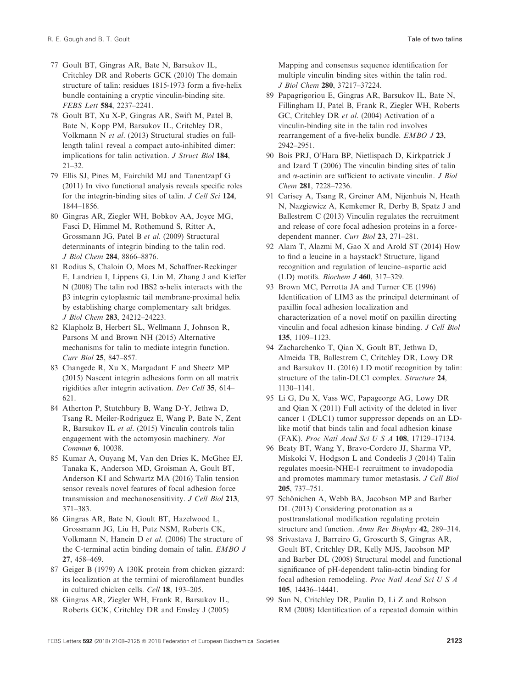- <span id="page-16-0"></span>77 Goult BT, Gingras AR, Bate N, Barsukov IL, Critchley DR and Roberts GCK (2010) The domain structure of talin: residues 1815-1973 form a five-helix bundle containing a cryptic vinculin-binding site. FEBS Lett 584, 2237–2241.
- 78 Goult BT, Xu X-P, Gingras AR, Swift M, Patel B, Bate N, Kopp PM, Barsukov IL, Critchley DR, Volkmann N et al. (2013) Structural studies on fulllength talin1 reveal a compact auto-inhibited dimer: implications for talin activation. *J Struct Biol* 184, 21–32.
- 79 Ellis SJ, Pines M, Fairchild MJ and Tanentzapf G (2011) In vivo functional analysis reveals specific roles for the integrin-binding sites of talin. J Cell Sci 124, 1844–1856.
- 80 Gingras AR, Ziegler WH, Bobkov AA, Joyce MG, Fasci D, Himmel M, Rothemund S, Ritter A, Grossmann JG, Patel B et al. (2009) Structural determinants of integrin binding to the talin rod. J Biol Chem 284, 8866–8876.
- 81 Rodius S, Chaloin O, Moes M, Schaffner-Reckinger E, Landrieu I, Lippens G, Lin M, Zhang J and Kieffer N (2008) The talin rod IBS2  $\alpha$ -helix interacts with the b3 integrin cytoplasmic tail membrane-proximal helix by establishing charge complementary salt bridges. J Biol Chem 283, 24212–24223.
- 82 Klapholz B, Herbert SL, Wellmann J, Johnson R, Parsons M and Brown NH (2015) Alternative mechanisms for talin to mediate integrin function. Curr Biol 25, 847–857.
- 83 Changede R, Xu X, Margadant F and Sheetz MP (2015) Nascent integrin adhesions form on all matrix rigidities after integrin activation. Dev Cell 35, 614– 621.
- 84 Atherton P, Stutchbury B, Wang D-Y, Jethwa D, Tsang R, Meiler-Rodriguez E, Wang P, Bate N, Zent R, Barsukov IL et al. (2015) Vinculin controls talin engagement with the actomyosin machinery. Nat Commun 6, 10038.
- 85 Kumar A, Ouyang M, Van den Dries K, McGhee EJ, Tanaka K, Anderson MD, Groisman A, Goult BT, Anderson KI and Schwartz MA (2016) Talin tension sensor reveals novel features of focal adhesion force transmission and mechanosensitivity. J Cell Biol 213, 371–383.
- 86 Gingras AR, Bate N, Goult BT, Hazelwood L, Grossmann JG, Liu H, Putz NSM, Roberts CK, Volkmann N, Hanein D et al. (2006) The structure of the C-terminal actin binding domain of talin. EMBO J 27, 458–469.
- 87 Geiger B (1979) A 130K protein from chicken gizzard: its localization at the termini of microfilament bundles in cultured chicken cells. Cell 18, 193–205.
- 88 Gingras AR, Ziegler WH, Frank R, Barsukov IL, Roberts GCK, Critchley DR and Emsley J (2005)

Mapping and consensus sequence identification for multiple vinculin binding sites within the talin rod. J Biol Chem 280, 37217–37224.

- 89 Papagrigoriou E, Gingras AR, Barsukov IL, Bate N, Fillingham IJ, Patel B, Frank R, Ziegler WH, Roberts GC, Critchley DR et al. (2004) Activation of a vinculin-binding site in the talin rod involves rearrangement of a five-helix bundle. EMBO J 23, 2942–2951.
- 90 Bois PRJ, O'Hara BP, Nietlispach D, Kirkpatrick J and Izard T (2006) The vinculin binding sites of talin and  $\alpha$ -actinin are sufficient to activate vinculin. *J Biol* Chem 281, 7228–7236.
- 91 Carisey A, Tsang R, Greiner AM, Nijenhuis N, Heath N, Nazgiewicz A, Kemkemer R, Derby B, Spatz J and Ballestrem C (2013) Vinculin regulates the recruitment and release of core focal adhesion proteins in a forcedependent manner. Curr Biol 23, 271–281.
- 92 Alam T, Alazmi M, Gao X and Arold ST (2014) How to find a leucine in a haystack? Structure, ligand recognition and regulation of leucine–aspartic acid (LD) motifs. Biochem J 460, 317–329.
- 93 Brown MC, Perrotta JA and Turner CE (1996) Identification of LIM3 as the principal determinant of paxillin focal adhesion localization and characterization of a novel motif on paxillin directing vinculin and focal adhesion kinase binding. J Cell Biol 135, 1109–1123.
- 94 Zacharchenko T, Qian X, Goult BT, Jethwa D, Almeida TB, Ballestrem C, Critchley DR, Lowy DR and Barsukov IL (2016) LD motif recognition by talin: structure of the talin-DLC1 complex. Structure 24, 1130–1141.
- 95 Li G, Du X, Vass WC, Papageorge AG, Lowy DR and Qian X (2011) Full activity of the deleted in liver cancer 1 (DLC1) tumor suppressor depends on an LDlike motif that binds talin and focal adhesion kinase (FAK). Proc Natl Acad Sci U S A 108, 17129–17134.
- 96 Beaty BT, Wang Y, Bravo-Cordero JJ, Sharma VP, Miskolci V, Hodgson L and Condeelis J (2014) Talin regulates moesin-NHE-1 recruitment to invadopodia and promotes mammary tumor metastasis. J Cell Biol 205, 737–751.
- 97 Schönichen A, Webb BA, Jacobson MP and Barber DL (2013) Considering protonation as a posttranslational modification regulating protein structure and function. Annu Rev Biophys 42, 289–314.
- 98 Srivastava J, Barreiro G, Groscurth S, Gingras AR, Goult BT, Critchley DR, Kelly MJS, Jacobson MP and Barber DL (2008) Structural model and functional significance of pH-dependent talin-actin binding for focal adhesion remodeling. Proc Natl Acad Sci U S A 105, 14436–14441.
- 99 Sun N, Critchley DR, Paulin D, Li Z and Robson RM (2008) Identification of a repeated domain within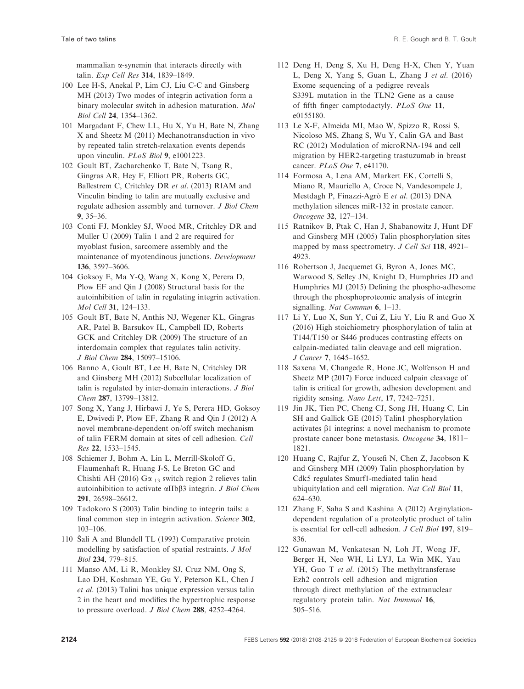<span id="page-17-0"></span>mammalian a-synemin that interacts directly with talin. Exp Cell Res 314, 1839–1849.

- 100 Lee H-S, Anekal P, Lim CJ, Liu C-C and Ginsberg MH (2013) Two modes of integrin activation form a binary molecular switch in adhesion maturation. Mol Biol Cell 24, 1354–1362.
- 101 Margadant F, Chew LL, Hu X, Yu H, Bate N, Zhang X and Sheetz M (2011) Mechanotransduction in vivo by repeated talin stretch-relaxation events depends upon vinculin. PLoS Biol 9, e1001223.
- 102 Goult BT, Zacharchenko T, Bate N, Tsang R, Gingras AR, Hey F, Elliott PR, Roberts GC, Ballestrem C, Critchley DR et al. (2013) RIAM and Vinculin binding to talin are mutually exclusive and regulate adhesion assembly and turnover. J Biol Chem 9, 35–36.
- 103 Conti FJ, Monkley SJ, Wood MR, Critchley DR and Muller U (2009) Talin 1 and 2 are required for myoblast fusion, sarcomere assembly and the maintenance of myotendinous junctions. Development 136, 3597–3606.
- 104 Goksoy E, Ma Y-Q, Wang X, Kong X, Perera D, Plow EF and Qin J (2008) Structural basis for the autoinhibition of talin in regulating integrin activation. Mol Cell 31, 124–133.
- 105 Goult BT, Bate N, Anthis NJ, Wegener KL, Gingras AR, Patel B, Barsukov IL, Campbell ID, Roberts GCK and Critchley DR (2009) The structure of an interdomain complex that regulates talin activity. J Biol Chem 284, 15097–15106.
- 106 Banno A, Goult BT, Lee H, Bate N, Critchley DR and Ginsberg MH (2012) Subcellular localization of talin is regulated by inter-domain interactions. J Biol Chem 287, 13799–13812.
- 107 Song X, Yang J, Hirbawi J, Ye S, Perera HD, Goksoy E, Dwivedi P, Plow EF, Zhang R and Qin J (2012) A novel membrane-dependent on/off switch mechanism of talin FERM domain at sites of cell adhesion. Cell Res 22, 1533–1545.
- 108 Schiemer J, Bohm A, Lin L, Merrill-Skoloff G, Flaumenhaft R, Huang J-S, Le Breton GC and Chishti AH (2016) G $\alpha_{13}$  switch region 2 relieves talin autoinhibition to activate  $\alpha$ IIb $\beta$ 3 integrin. *J Biol Chem* 291, 26598–26612.
- 109 Tadokoro S (2003) Talin binding to integrin tails: a final common step in integrin activation. Science 302, 103–106.
- <sup>110</sup> Sali A and Blundell TL (1993) Comparative protein modelling by satisfaction of spatial restraints. J Mol Biol 234, 779–815.
- 111 Manso AM, Li R, Monkley SJ, Cruz NM, Ong S, Lao DH, Koshman YE, Gu Y, Peterson KL, Chen J et al. (2013) Talini has unique expression versus talin 2 in the heart and modifies the hypertrophic response to pressure overload. J Biol Chem 288, 4252–4264.
- 112 Deng H, Deng S, Xu H, Deng H-X, Chen Y, Yuan L, Deng X, Yang S, Guan L, Zhang J et al. (2016) Exome sequencing of a pedigree reveals S339L mutation in the TLN2 Gene as a cause of fifth finger camptodactyly. PLoS One 11, e0155180.
- 113 Le X-F, Almeida MI, Mao W, Spizzo R, Rossi S, Nicoloso MS, Zhang S, Wu Y, Calin GA and Bast RC (2012) Modulation of microRNA-194 and cell migration by HER2-targeting trastuzumab in breast cancer. PLoS One 7, e41170.
- 114 Formosa A, Lena AM, Markert EK, Cortelli S, Miano R, Mauriello A, Croce N, Vandesompele J, Mestdagh P, Finazzi-Agrò E et al. (2013) DNA methylation silences miR-132 in prostate cancer. Oncogene 32, 127–134.
- 115 Ratnikov B, Ptak C, Han J, Shabanowitz J, Hunt DF and Ginsberg MH (2005) Talin phosphorylation sites mapped by mass spectrometry. J Cell Sci 118, 4921-4923.
- 116 Robertson J, Jacquemet G, Byron A, Jones MC, Warwood S, Selley JN, Knight D, Humphries JD and Humphries MJ (2015) Defining the phospho-adhesome through the phosphoproteomic analysis of integrin signalling. Nat Commun 6, 1–13.
- 117 Li Y, Luo X, Sun Y, Cui Z, Liu Y, Liu R and Guo X (2016) High stoichiometry phosphorylation of talin at T144/T150 or S446 produces contrasting effects on calpain-mediated talin cleavage and cell migration. J Cancer 7, 1645–1652.
- 118 Saxena M, Changede R, Hone JC, Wolfenson H and Sheetz MP (2017) Force induced calpain cleavage of talin is critical for growth, adhesion development and rigidity sensing. Nano Lett, 17, 7242–7251.
- 119 Jin JK, Tien PC, Cheng CJ, Song JH, Huang C, Lin SH and Gallick GE (2015) Talin1 phosphorylation activates  $\beta$ 1 integrins: a novel mechanism to promote prostate cancer bone metastasis. Oncogene 34, 1811– 1821.
- 120 Huang C, Rajfur Z, Yousefi N, Chen Z, Jacobson K and Ginsberg MH (2009) Talin phosphorylation by Cdk5 regulates Smurf1-mediated talin head ubiquitylation and cell migration. Nat Cell Biol 11, 624–630.
- 121 Zhang F, Saha S and Kashina A (2012) Arginylationdependent regulation of a proteolytic product of talin is essential for cell-cell adhesion. J Cell Biol 197, 819– 836.
- 122 Gunawan M, Venkatesan N, Loh JT, Wong JF, Berger H, Neo WH, Li LYJ, La Win MK, Yau YH, Guo T et al. (2015) The methyltransferase Ezh2 controls cell adhesion and migration through direct methylation of the extranuclear regulatory protein talin. Nat Immunol 16, 505–516.